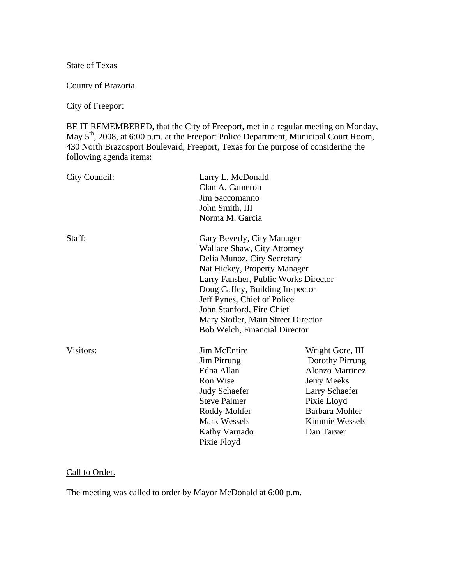State of Texas

County of Brazoria

City of Freeport

BE IT REMEMBERED, that the City of Freeport, met in a regular meeting on Monday, May 5<sup>th</sup>, 2008, at 6:00 p.m. at the Freeport Police Department, Municipal Court Room, 430 North Brazosport Boulevard, Freeport, Texas for the purpose of considering the following agenda items:

| City Council: | Larry L. McDonald<br>Clan A. Cameron<br>Jim Saccomanno<br>John Smith, III<br>Norma M. Garcia                                                                                                                                                                                                                                                         |                                                                                                                                                                        |  |  |
|---------------|------------------------------------------------------------------------------------------------------------------------------------------------------------------------------------------------------------------------------------------------------------------------------------------------------------------------------------------------------|------------------------------------------------------------------------------------------------------------------------------------------------------------------------|--|--|
| Staff:        | Gary Beverly, City Manager<br><b>Wallace Shaw, City Attorney</b><br>Delia Munoz, City Secretary<br>Nat Hickey, Property Manager<br>Larry Fansher, Public Works Director<br>Doug Caffey, Building Inspector<br>Jeff Pynes, Chief of Police<br>John Stanford, Fire Chief<br>Mary Stotler, Main Street Director<br><b>Bob Welch, Financial Director</b> |                                                                                                                                                                        |  |  |
| Visitors:     | <b>Jim McEntire</b><br><b>Jim Pirrung</b><br>Edna Allan<br>Ron Wise<br><b>Judy Schaefer</b><br><b>Steve Palmer</b><br>Roddy Mohler<br><b>Mark Wessels</b><br>Kathy Varnado<br>Pixie Floyd                                                                                                                                                            | Wright Gore, III<br>Dorothy Pirrung<br><b>Alonzo Martinez</b><br><b>Jerry Meeks</b><br>Larry Schaefer<br>Pixie Lloyd<br>Barbara Mohler<br>Kimmie Wessels<br>Dan Tarver |  |  |

# Call to Order.

The meeting was called to order by Mayor McDonald at 6:00 p.m.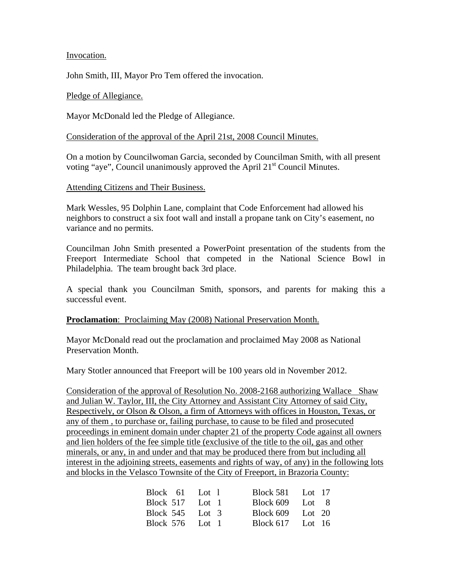Invocation.

John Smith, III, Mayor Pro Tem offered the invocation.

#### Pledge of Allegiance.

Mayor McDonald led the Pledge of Allegiance.

#### Consideration of the approval of the April 21st, 2008 Council Minutes.

On a motion by Councilwoman Garcia, seconded by Councilman Smith, with all present voting "aye", Council unanimously approved the April 21<sup>st</sup> Council Minutes.

#### Attending Citizens and Their Business.

Mark Wessles, 95 Dolphin Lane, complaint that Code Enforcement had allowed his neighbors to construct a six foot wall and install a propane tank on City's easement, no variance and no permits.

Councilman John Smith presented a PowerPoint presentation of the students from the Freeport Intermediate School that competed in the National Science Bowl in Philadelphia. The team brought back 3rd place.

A special thank you Councilman Smith, sponsors, and parents for making this a successful event.

### **Proclamation**: Proclaiming May (2008) National Preservation Month.

Mayor McDonald read out the proclamation and proclaimed May 2008 as National Preservation Month.

Mary Stotler announced that Freeport will be 100 years old in November 2012.

Consideration of the approval of Resolution No. 2008-2168 authorizing Wallace Shaw and Julian W. Taylor, III, the City Attorney and Assistant City Attorney of said City, Respectively, or Olson & Olson, a firm of Attorneys with offices in Houston, Texas, or any of them , to purchase or, failing purchase, to cause to be filed and prosecuted proceedings in eminent domain under chapter 21 of the property Code against all owners and lien holders of the fee simple title (exclusive of the title to the oil, gas and other minerals, or any, in and under and that may be produced there from but including all interest in the adjoining streets, easements and rights of way, of any) in the following lots and blocks in the Velasco Townsite of the City of Freeport, in Brazoria County:

| Block 61 Lot 1    | Block 581 Lot 17   |  |
|-------------------|--------------------|--|
| Block $517$ Lot 1 | Block $609$ Lot 8  |  |
| Block 545 Lot 3   | Block $609$ Lot 20 |  |
| Block 576 Lot 1   | Block $617$ Lot 16 |  |
|                   |                    |  |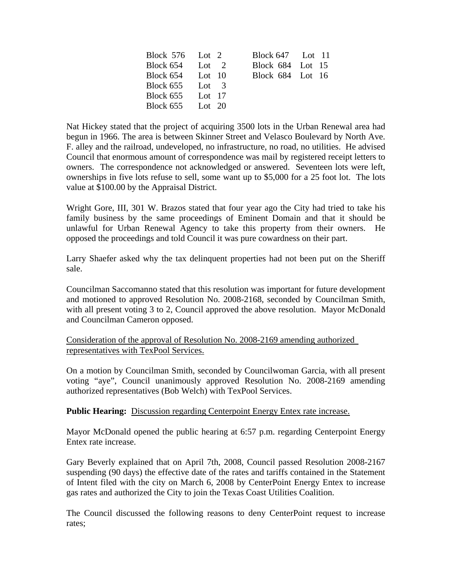| Block 576 Lot 2    |  | Block $647$ Lot 11 |
|--------------------|--|--------------------|
| Block $654$ Lot 2  |  | Block 684 Lot 15   |
| Block $654$ Lot 10 |  | Block 684 Lot 16   |
| Block $655$ Lot 3  |  |                    |
| Block 655 Lot 17   |  |                    |
| Block $655$ Lot 20 |  |                    |

Nat Hickey stated that the project of acquiring 3500 lots in the Urban Renewal area had begun in 1966. The area is between Skinner Street and Velasco Boulevard by North Ave. F. alley and the railroad, undeveloped, no infrastructure, no road, no utilities. He advised Council that enormous amount of correspondence was mail by registered receipt letters to owners. The correspondence not acknowledged or answered. Seventeen lots were left, ownerships in five lots refuse to sell, some want up to \$5,000 for a 25 foot lot. The lots value at \$100.00 by the Appraisal District.

Wright Gore, III, 301 W. Brazos stated that four year ago the City had tried to take his family business by the same proceedings of Eminent Domain and that it should be unlawful for Urban Renewal Agency to take this property from their owners. He opposed the proceedings and told Council it was pure cowardness on their part.

Larry Shaefer asked why the tax delinquent properties had not been put on the Sheriff sale.

Councilman Saccomanno stated that this resolution was important for future development and motioned to approved Resolution No. 2008-2168, seconded by Councilman Smith, with all present voting 3 to 2, Council approved the above resolution. Mayor McDonald and Councilman Cameron opposed.

## Consideration of the approval of Resolution No. 2008-2169 amending authorized representatives with TexPool Services.

On a motion by Councilman Smith, seconded by Councilwoman Garcia, with all present voting "aye", Council unanimously approved Resolution No. 2008-2169 amending authorized representatives (Bob Welch) with TexPool Services.

### **Public Hearing:** Discussion regarding Centerpoint Energy Entex rate increase.

Mayor McDonald opened the public hearing at 6:57 p.m. regarding Centerpoint Energy Entex rate increase.

Gary Beverly explained that on April 7th, 2008, Council passed Resolution 2008-2167 suspending (90 days) the effective date of the rates and tariffs contained in the Statement of Intent filed with the city on March 6, 2008 by CenterPoint Energy Entex to increase gas rates and authorized the City to join the Texas Coast Utilities Coalition.

The Council discussed the following reasons to deny CenterPoint request to increase rates;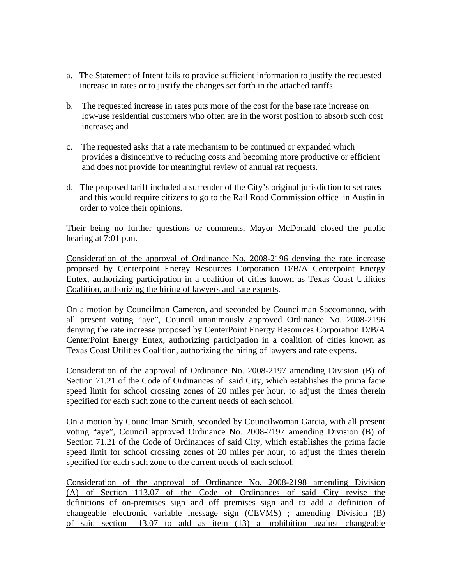- a. The Statement of Intent fails to provide sufficient information to justify the requested increase in rates or to justify the changes set forth in the attached tariffs.
- b. The requested increase in rates puts more of the cost for the base rate increase on low-use residential customers who often are in the worst position to absorb such cost increase; and
- c. The requested asks that a rate mechanism to be continued or expanded which provides a disincentive to reducing costs and becoming more productive or efficient and does not provide for meaningful review of annual rat requests.
- d. The proposed tariff included a surrender of the City's original jurisdiction to set rates and this would require citizens to go to the Rail Road Commission office in Austin in order to voice their opinions.

Their being no further questions or comments, Mayor McDonald closed the public hearing at 7:01 p.m.

Consideration of the approval of Ordinance No. 2008-2196 denying the rate increase proposed by Centerpoint Energy Resources Corporation D/B/A Centerpoint Energy Entex, authorizing participation in a coalition of cities known as Texas Coast Utilities Coalition, authorizing the hiring of lawyers and rate experts.

On a motion by Councilman Cameron, and seconded by Councilman Saccomanno, with all present voting "aye", Council unanimously approved Ordinance No. 2008-2196 denying the rate increase proposed by CenterPoint Energy Resources Corporation D/B/A CenterPoint Energy Entex, authorizing participation in a coalition of cities known as Texas Coast Utilities Coalition, authorizing the hiring of lawyers and rate experts.

Consideration of the approval of Ordinance No. 2008-2197 amending Division (B) of Section 71.21 of the Code of Ordinances of said City, which establishes the prima facie speed limit for school crossing zones of 20 miles per hour, to adjust the times therein specified for each such zone to the current needs of each school.

On a motion by Councilman Smith, seconded by Councilwoman Garcia, with all present voting "aye", Council approved Ordinance No. 2008-2197 amending Division (B) of Section 71.21 of the Code of Ordinances of said City, which establishes the prima facie speed limit for school crossing zones of 20 miles per hour, to adjust the times therein specified for each such zone to the current needs of each school.

Consideration of the approval of Ordinance No. 2008-2198 amending Division (A) of Section 113.07 of the Code of Ordinances of said City revise the definitions of on-premises sign and off premises sign and to add a definition of changeable electronic variable message sign (CEVMS) ; amending Division (B) of said section 113.07 to add as item (13) a prohibition against changeable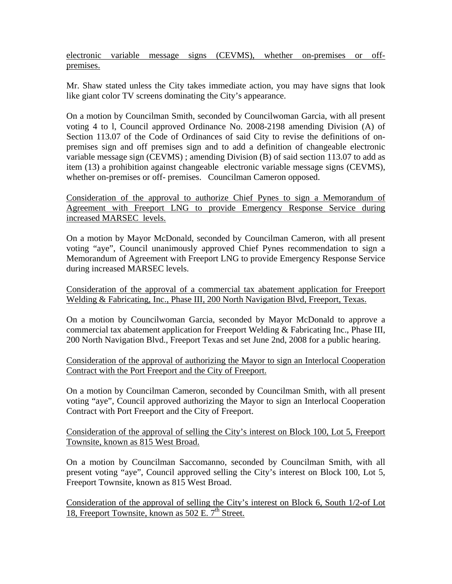electronic variable message signs (CEVMS), whether on-premises or offpremises.

Mr. Shaw stated unless the City takes immediate action, you may have signs that look like giant color TV screens dominating the City's appearance.

On a motion by Councilman Smith, seconded by Councilwoman Garcia, with all present voting 4 to l, Council approved Ordinance No. 2008-2198 amending Division (A) of Section 113.07 of the Code of Ordinances of said City to revise the definitions of onpremises sign and off premises sign and to add a definition of changeable electronic variable message sign (CEVMS) ; amending Division (B) of said section 113.07 to add as item (13) a prohibition against changeable electronic variable message signs (CEVMS), whether on-premises or off- premises. Councilman Cameron opposed.

Consideration of the approval to authorize Chief Pynes to sign a Memorandum of Agreement with Freeport LNG to provide Emergency Response Service during increased MARSEC levels.

On a motion by Mayor McDonald, seconded by Councilman Cameron, with all present voting "aye", Council unanimously approved Chief Pynes recommendation to sign a Memorandum of Agreement with Freeport LNG to provide Emergency Response Service during increased MARSEC levels.

Consideration of the approval of a commercial tax abatement application for Freeport Welding & Fabricating, Inc., Phase III, 200 North Navigation Blvd, Freeport, Texas.

On a motion by Councilwoman Garcia, seconded by Mayor McDonald to approve a commercial tax abatement application for Freeport Welding & Fabricating Inc., Phase III, 200 North Navigation Blvd., Freeport Texas and set June 2nd, 2008 for a public hearing.

Consideration of the approval of authorizing the Mayor to sign an Interlocal Cooperation Contract with the Port Freeport and the City of Freeport.

On a motion by Councilman Cameron, seconded by Councilman Smith, with all present voting "aye", Council approved authorizing the Mayor to sign an Interlocal Cooperation Contract with Port Freeport and the City of Freeport.

Consideration of the approval of selling the City's interest on Block 100, Lot 5, Freeport Townsite, known as 815 West Broad.

On a motion by Councilman Saccomanno, seconded by Councilman Smith, with all present voting "aye", Council approved selling the City's interest on Block 100, Lot 5, Freeport Townsite, known as 815 West Broad.

Consideration of the approval of selling the City's interest on Block 6, South 1/2-of Lot 18, Freeport Townsite, known as  $502$  E.  $7<sup>th</sup>$  Street.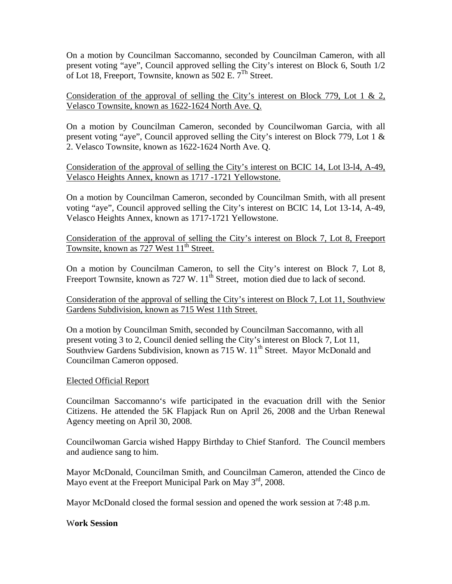On a motion by Councilman Saccomanno, seconded by Councilman Cameron, with all present voting "aye", Council approved selling the City's interest on Block 6, South 1/2 of Lot 18, Freeport, Townsite, known as 502 E.  $7^{Th}$  Street.

Consideration of the approval of selling the City's interest on Block 779, Lot 1 & 2, Velasco Townsite, known as 1622-1624 North Ave. Q.

On a motion by Councilman Cameron, seconded by Councilwoman Garcia, with all present voting "aye", Council approved selling the City's interest on Block 779, Lot 1 & 2. Velasco Townsite, known as 1622-1624 North Ave. Q.

Consideration of the approval of selling the City's interest on BCIC 14, Lot l3-l4, A-49, Velasco Heights Annex, known as 1717 -1721 Yellowstone.

On a motion by Councilman Cameron, seconded by Councilman Smith, with all present voting "aye", Council approved selling the City's interest on BCIC 14, Lot 13-14, A-49, Velasco Heights Annex, known as 1717-1721 Yellowstone.

Consideration of the approval of selling the City's interest on Block 7, Lot 8, Freeport Townsite, known as 727 West 11<sup>th</sup> Street.

On a motion by Councilman Cameron, to sell the City's interest on Block 7, Lot 8, Freeport Townsite, known as  $727 \text{ W}$ .  $11^{\text{th}}$  Street, motion died due to lack of second.

Consideration of the approval of selling the City's interest on Block 7, Lot 11, Southview Gardens Subdivision, known as 715 West 11th Street.

On a motion by Councilman Smith, seconded by Councilman Saccomanno, with all present voting 3 to 2, Council denied selling the City's interest on Block 7, Lot 11, Southview Gardens Subdivision, known as 715 W. 11<sup>th</sup> Street. Mayor McDonald and Councilman Cameron opposed.

### Elected Official Report

Councilman Saccomanno's wife participated in the evacuation drill with the Senior Citizens. He attended the 5K Flapjack Run on April 26, 2008 and the Urban Renewal Agency meeting on April 30, 2008.

Councilwoman Garcia wished Happy Birthday to Chief Stanford. The Council members and audience sang to him.

Mayor McDonald, Councilman Smith, and Councilman Cameron, attended the Cinco de Mayo event at the Freeport Municipal Park on May  $3<sup>rd</sup>$ , 2008.

Mayor McDonald closed the formal session and opened the work session at 7:48 p.m.

W**ork Session**